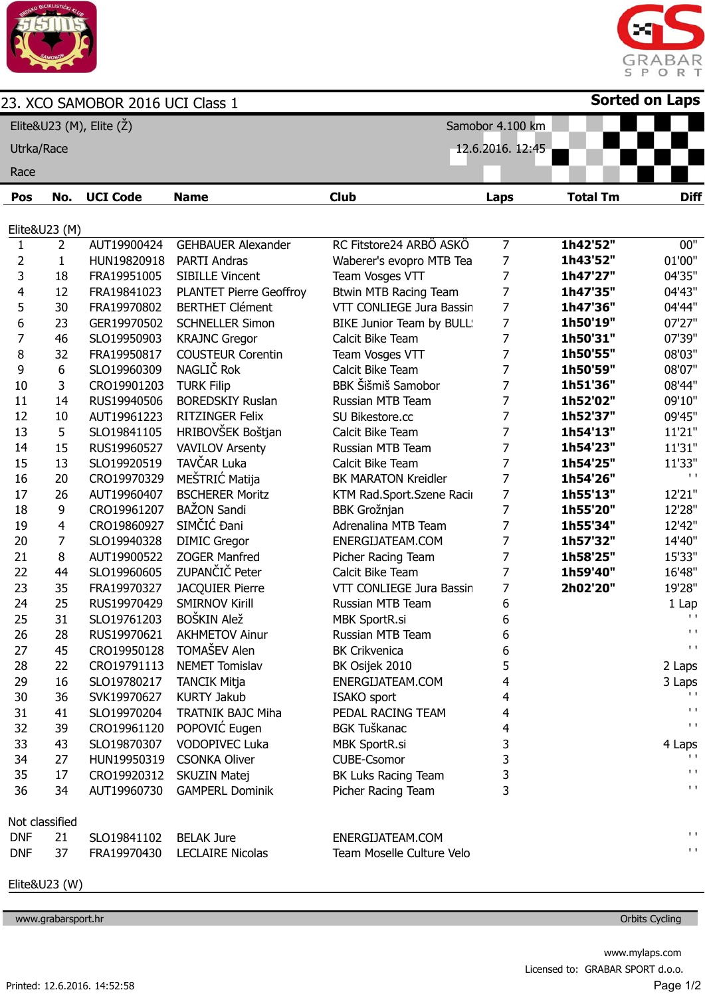

## 23. XCO SAMOBOR 2016 UCI Class 1



**Sorted on Laps**

| Elite&U23 (M), Elite (Ž) |                |                 |                                | Samobor 4.100 km             |                  |                 |                             |
|--------------------------|----------------|-----------------|--------------------------------|------------------------------|------------------|-----------------|-----------------------------|
| Utrka/Race               |                |                 |                                |                              | 12.6.2016. 12:45 |                 |                             |
| Race                     |                |                 |                                |                              |                  |                 |                             |
| Pos                      | No.            | <b>UCI Code</b> | <b>Name</b>                    | <b>Club</b>                  | <b>Laps</b>      | <b>Total Tm</b> | <b>Diff</b>                 |
|                          | Elite&U23 (M)  |                 |                                |                              |                  |                 |                             |
| $\mathbf{1}$             | $\overline{2}$ | AUT19900424     | <b>GEHBAUER Alexander</b>      | RC Fitstore24 ARBÖ ASKÖ      | $\overline{7}$   | 1h42'52"        | 00"                         |
| 2                        | $\mathbf{1}$   | HUN19820918     | <b>PARTI Andras</b>            | Waberer's evopro MTB Tea     | 7                | 1h43'52"        | 01'00"                      |
| 3                        | 18             | FRA19951005     | <b>SIBILLE Vincent</b>         | Team Vosges VTT              | 7                | 1h47'27"        | 04'35"                      |
| 4                        | 12             | FRA19841023     | <b>PLANTET Pierre Geoffroy</b> | <b>Btwin MTB Racing Team</b> | 7                | 1h47'35"        | 04'43"                      |
| 5                        | 30             | FRA19970802     | <b>BERTHET Clément</b>         | VTT CONLIEGE Jura Bassin     | 7                | 1h47'36"        | 04'44"                      |
| 6                        | 23             | GER19970502     | <b>SCHNELLER Simon</b>         | BIKE Junior Team by BULL!    | 7                | 1h50'19"        | 07'27"                      |
| 7                        | 46             | SLO19950903     | <b>KRAJNC Gregor</b>           | Calcit Bike Team             | 7                | 1h50'31"        | 07'39"                      |
| 8                        | 32             | FRA19950817     | <b>COUSTEUR Corentin</b>       | Team Vosges VTT              | 7                | 1h50'55"        | 08'03"                      |
| 9                        | 6              | SLO19960309     | NAGLIČ Rok                     | Calcit Bike Team             | 7                | 1h50'59"        | 08'07"                      |
| 10                       | 3              | CRO19901203     | <b>TURK Filip</b>              | <b>BBK Šišmiš Samobor</b>    | 7                | 1h51'36"        | 08'44"                      |
| 11                       | 14             | RUS19940506     | <b>BOREDSKIY Ruslan</b>        | Russian MTB Team             | 7                | 1h52'02"        | 09'10"                      |
| 12                       | 10             | AUT19961223     | <b>RITZINGER Felix</b>         | SU Bikestore.cc              | 7                | 1h52'37"        | 09'45"                      |
| 13                       | 5              | SLO19841105     | HRIBOVŠEK Boštjan              | Calcit Bike Team             | 7                | 1h54'13"        | 11'21"                      |
| 14                       | 15             | RUS19960527     | <b>VAVILOV Arsenty</b>         | Russian MTB Team             | 7                | 1h54'23"        | 11'31"                      |
| 15                       | 13             | SLO19920519     | TAVČAR Luka                    | Calcit Bike Team             | 7                | 1h54'25"        | 11'33"                      |
| 16                       | 20             | CRO19970329     | MEŠTRIĆ Matija                 | <b>BK MARATON Kreidler</b>   | 7                | 1h54'26"        | $\mathbf{I}$ . $\mathbf{I}$ |
| 17                       | 26             | AUT19960407     | <b>BSCHERER Moritz</b>         | KTM Rad.Sport.Szene Racir    | 7                | 1h55'13"        | 12'21"                      |
| 18                       | 9              | CRO19961207     | <b>BAŽON Sandi</b>             | <b>BBK Grožnjan</b>          | 7                | 1h55'20"        | 12'28"                      |
| 19                       | 4              | CRO19860927     | SIMČIĆ Đani                    | Adrenalina MTB Team          | 7                | 1h55'34"        | 12'42"                      |
| 20                       | $\overline{7}$ | SLO19940328     | <b>DIMIC Gregor</b>            | ENERGIJATEAM.COM             | 7                | 1h57'32"        | 14'40"                      |
| 21                       | 8              | AUT19900522     | ZOGER Manfred                  | Picher Racing Team           | 7                | 1h58'25"        | 15'33"                      |
| 22                       | 44             | SLO19960605     | ZUPANČIČ Peter                 | Calcit Bike Team             | 7                | 1h59'40"        | 16'48"                      |
| 23                       | 35             | FRA19970327     | <b>JACQUIER Pierre</b>         | VTT CONLIEGE Jura Bassin     | 7                | 2h02'20"        | 19'28"                      |
| 24                       | 25             | RUS19970429     | <b>SMIRNOV Kirill</b>          | Russian MTB Team             | 6                |                 | 1 Lap                       |
| 25                       | 31             | SLO19761203     | BOŠKIN Alež                    | <b>MBK SportR.si</b>         | 6                |                 | $\mathbf{L}$                |
| 26                       | 28             | RUS19970621     | <b>AKHMETOV Ainur</b>          | Russian MTB Team             | 6                |                 | $\mathbf{I}$                |
| 27                       | 45             |                 | CRO19950128 TOMAŠEV Alen       | <b>BK Crikvenica</b>         | 6                |                 | $\mathbf{L}$                |
| 28                       | 22             | CRO19791113     | <b>NEMET Tomislav</b>          | BK Osijek 2010               | 5                |                 | 2 Laps                      |
| 29                       | 16             | SLO19780217     | <b>TANCIK Mitja</b>            | ENERGIJATEAM.COM             | 4                |                 | 3 Laps                      |
| 30                       | 36             | SVK19970627     | <b>KURTY Jakub</b>             | <b>ISAKO</b> sport           | 4                |                 | $\mathbf{L}$                |
| 31                       | 41             | SLO19970204     | <b>TRATNIK BAJC Miha</b>       | PEDAL RACING TEAM            | 4                |                 | $\mathbf{I}$ . $\mathbf{I}$ |
| 32                       | 39             | CRO19961120     | POPOVIĆ Eugen                  | <b>BGK Tuškanac</b>          | 4                |                 | $\mathbf{L}$                |
| 33                       | 43             | SLO19870307     | <b>VODOPIVEC Luka</b>          | <b>MBK SportR.si</b>         | 3                |                 | 4 Laps                      |
| 34                       | 27             | HUN19950319     | <b>CSONKA Oliver</b>           | <b>CUBE-Csomor</b>           | 3                |                 |                             |
| 35                       | 17             | CRO19920312     | <b>SKUZIN Matej</b>            | BK Luks Racing Team          | 3                |                 | $\mathbf{I}$ . $\mathbf{I}$ |
| 36                       | 34             | AUT19960730     | <b>GAMPERL Dominik</b>         | Picher Racing Team           | 3                |                 | $\mathbf{I}$ . $\mathbf{I}$ |
|                          |                |                 |                                |                              |                  |                 |                             |
| Not classified           |                |                 |                                |                              |                  |                 | $\mathbf{L}$                |
| <b>DNF</b>               | 21             | SLO19841102     | <b>BELAK Jure</b>              | ENERGIJATEAM.COM             |                  |                 | $\mathbf{I}$ . $\mathbf{I}$ |
| <b>DNF</b>               | 37             | FRA19970430     | <b>LECLAIRE Nicolas</b>        | Team Moselle Culture Velo    |                  |                 |                             |

Elite&U23 (W)

www.grabarsport.hr **Orbits Cycling**